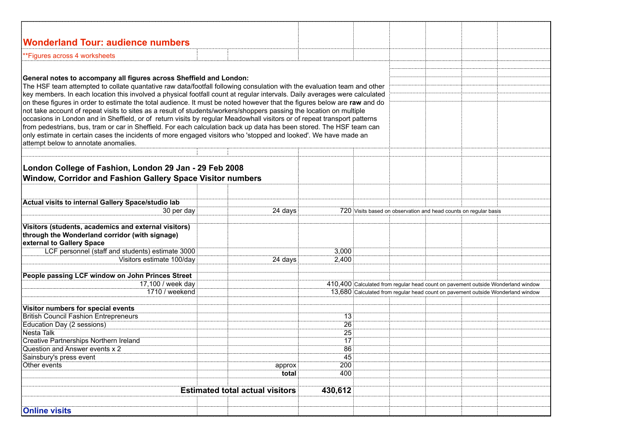